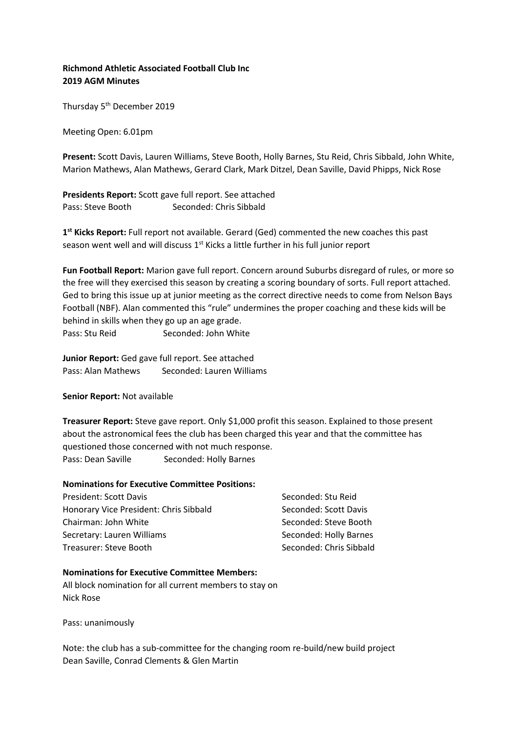# **Richmond Athletic Associated Football Club Inc 2019 AGM Minutes**

Thursday 5<sup>th</sup> December 2019

Meeting Open: 6.01pm

**Present:** Scott Davis, Lauren Williams, Steve Booth, Holly Barnes, Stu Reid, Chris Sibbald, John White, Marion Mathews, Alan Mathews, Gerard Clark, Mark Ditzel, Dean Saville, David Phipps, Nick Rose

**Presidents Report:** Scott gave full report. See attached Pass: Steve Booth Seconded: Chris Sibbald

**1 st Kicks Report:** Full report not available. Gerard (Ged) commented the new coaches this past season went well and will discuss 1<sup>st</sup> Kicks a little further in his full junior report

**Fun Football Report:** Marion gave full report. Concern around Suburbs disregard of rules, or more so the free will they exercised this season by creating a scoring boundary of sorts. Full report attached. Ged to bring this issue up at junior meeting as the correct directive needs to come from Nelson Bays Football (NBF). Alan commented this "rule" undermines the proper coaching and these kids will be behind in skills when they go up an age grade. Pass: Stu Reid Seconded: John White

**Junior Report:** Ged gave full report. See attached Pass: Alan Mathews Seconded: Lauren Williams

**Senior Report:** Not available

**Treasurer Report:** Steve gave report. Only \$1,000 profit this season. Explained to those present about the astronomical fees the club has been charged this year and that the committee has questioned those concerned with not much response. Pass: Dean Saville Seconded: Holly Barnes

#### **Nominations for Executive Committee Positions:**

| President: Scott Davis                 | Seconded: Stu Reid      |
|----------------------------------------|-------------------------|
| Honorary Vice President: Chris Sibbald | Seconded: Scott Davis   |
| Chairman: John White                   | Seconded: Steve Booth   |
| Secretary: Lauren Williams             | Seconded: Holly Barnes  |
| Treasurer: Steve Booth                 | Seconded: Chris Sibbald |

#### **Nominations for Executive Committee Members:**

All block nomination for all current members to stay on Nick Rose

Pass: unanimously

Note: the club has a sub-committee for the changing room re-build/new build project Dean Saville, Conrad Clements & Glen Martin